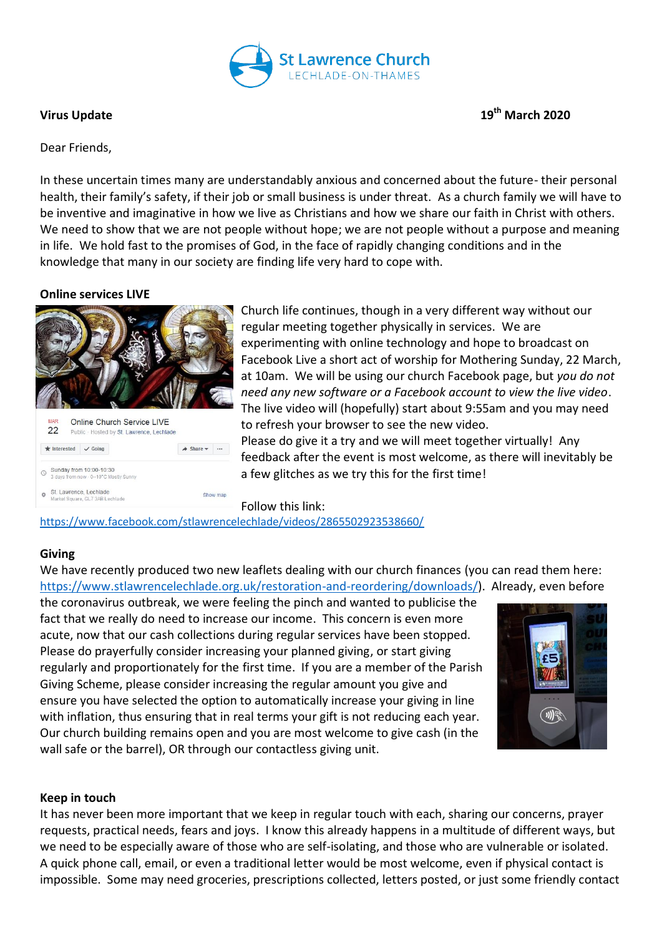

**Virus Update 19th March 2020**

## Dear Friends,

In these uncertain times many are understandably anxious and concerned about the future- their personal health, their family's safety, if their job or small business is under threat. As a church family we will have to be inventive and imaginative in how we live as Christians and how we share our faith in Christ with others. We need to show that we are not people without hope; we are not people without a purpose and meaning in life. We hold fast to the promises of God, in the face of rapidly changing conditions and in the knowledge that many in our society are finding life very hard to cope with.

### **Online services LIVE**



Church life continues, though in a very different way without our regular meeting together physically in services. We are experimenting with online technology and hope to broadcast on Facebook Live a short act of worship for Mothering Sunday, 22 March, at 10am. We will be using our church Facebook page, but *you do not need any new software or a Facebook account to view the live video*. The live video will (hopefully) start about 9:55am and you may need to refresh your browser to see the new video. Please do give it a try and we will meet together virtually! Any feedback after the event is most welcome, as there will inevitably be a few glitches as we try this for the first time!

Follow this link:

<https://www.facebook.com/stlawrencelechlade/videos/2865502923538660/>

### **Giving**

We have recently produced two new leaflets dealing with our church finances (you can read them here: [https://www.stlawrencelechlade.org.uk/restoration-and-reordering/downloads/\)](https://www.stlawrencelechlade.org.uk/restoration-and-reordering/downloads/). Already, even before

the coronavirus outbreak, we were feeling the pinch and wanted to publicise the fact that we really do need to increase our income. This concern is even more acute, now that our cash collections during regular services have been stopped. Please do prayerfully consider increasing your planned giving, or start giving regularly and proportionately for the first time. If you are a member of the Parish Giving Scheme, please consider increasing the regular amount you give and ensure you have selected the option to automatically increase your giving in line with inflation, thus ensuring that in real terms your gift is not reducing each year. Our church building remains open and you are most welcome to give cash (in the wall safe or the barrel), OR through our contactless giving unit.



### **Keep in touch**

It has never been more important that we keep in regular touch with each, sharing our concerns, prayer requests, practical needs, fears and joys. I know this already happens in a multitude of different ways, but we need to be especially aware of those who are self-isolating, and those who are vulnerable or isolated. A quick phone call, email, or even a traditional letter would be most welcome, even if physical contact is impossible. Some may need groceries, prescriptions collected, letters posted, or just some friendly contact